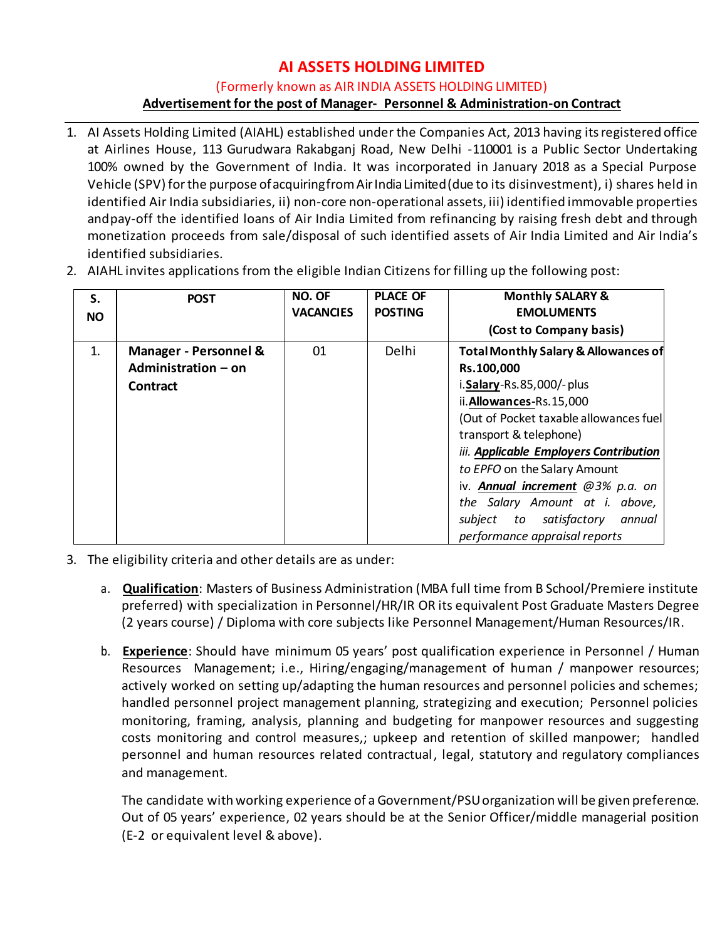# **AI ASSETS HOLDING LIMITED**

(Formerly known as AIR INDIA ASSETS HOLDING LIMITED)

# **Advertisement for the post of Manager- Personnel & Administration-on Contract**

- 1. AI Assets Holding Limited (AIAHL) established under the Companies Act, 2013 having itsregistered office at Airlines House, 113 Gurudwara Rakabganj Road, New Delhi -110001 is a Public Sector Undertaking 100% owned by the Government of India. It was incorporated in January 2018 as a Special Purpose Vehicle (SPV) forthe purpose of acquiring from Air India Limited (due to its disinvestment), i) shares held in identified Air India subsidiaries, ii) non-core non-operational assets, iii) identified immovable properties andpay-off the identified loans of Air India Limited from refinancing by raising fresh debt and through monetization proceeds from sale/disposal of such identified assets of Air India Limited and Air India's identified subsidiaries.
- 2. AIAHL invites applications from the eligible Indian Citizens for filling up the following post:

| S.<br><b>NO</b> | <b>POST</b>                                                                | NO. OF<br><b>VACANCIES</b> | <b>PLACE OF</b><br><b>POSTING</b> | <b>Monthly SALARY &amp;</b><br><b>EMOLUMENTS</b><br>(Cost to Company basis)                                                                                                                                                                                                                                                                                                                                      |
|-----------------|----------------------------------------------------------------------------|----------------------------|-----------------------------------|------------------------------------------------------------------------------------------------------------------------------------------------------------------------------------------------------------------------------------------------------------------------------------------------------------------------------------------------------------------------------------------------------------------|
| 1.              | <b>Manager - Personnel &amp;</b><br>Administration - on<br><b>Contract</b> | 01                         | Delhi                             | <b>Total Monthly Salary &amp; Allowances of</b><br>Rs.100,000<br>i.Salary-Rs.85,000/-plus<br>ii. Allowances-Rs. 15,000<br>(Out of Pocket taxable allowances fuel<br>transport & telephone)<br>iii. Applicable Employers Contribution<br>to EPFO on the Salary Amount<br>iv. Annual increment @3% p.a. on<br>the Salary Amount at i. above,<br>subject to satisfactory<br>annual<br>performance appraisal reports |

- 3. The eligibility criteria and other details are as under:
	- a. **Qualification**: Masters of Business Administration (MBA full time from B School/Premiere institute preferred) with specialization in Personnel/HR/IR OR its equivalent Post Graduate Masters Degree (2 years course) / Diploma with core subjects like Personnel Management/Human Resources/IR.
	- b. **Experience**: Should have minimum 05 years' post qualification experience in Personnel / Human Resources Management; i.e., Hiring/engaging/management of human / manpower resources; actively worked on setting up/adapting the human resources and personnel policies and schemes; handled personnel project management planning, strategizing and execution; Personnel policies monitoring, framing, analysis, planning and budgeting for manpower resources and suggesting costs monitoring and control measures,; upkeep and retention of skilled manpower; handled personnel and human resources related contractual, legal, statutory and regulatory compliances and management.

The candidate with working experience of a Government/PSUorganization will be given preference. Out of 05 years' experience, 02 years should be at the Senior Officer/middle managerial position (E-2 or equivalent level & above).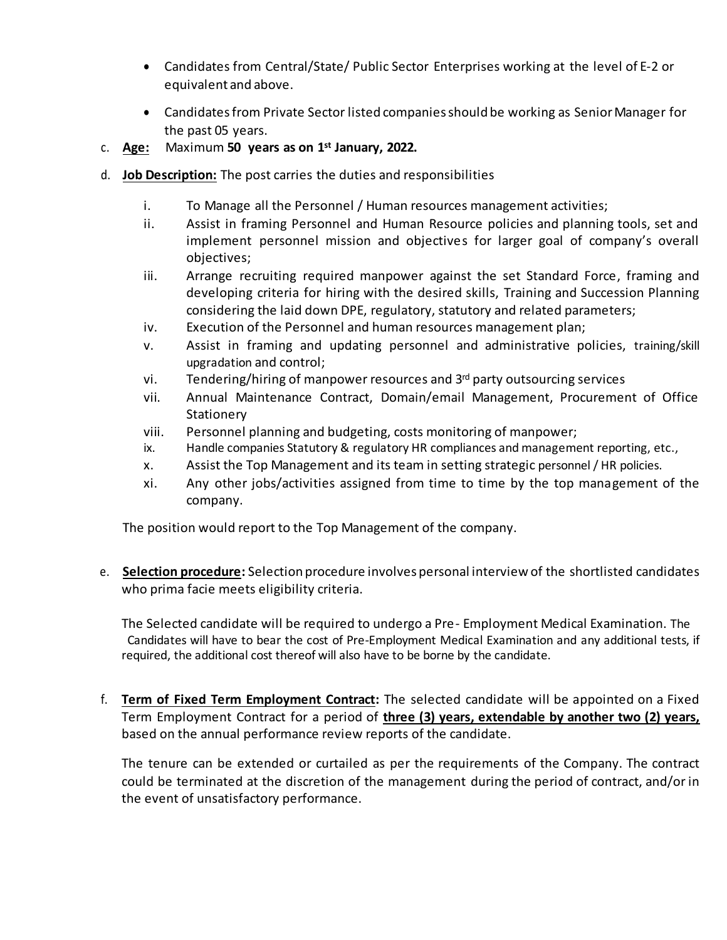- Candidates from Central/State/ Public Sector Enterprises working at the level of E-2 or equivalent and above.
- Candidates from Private Sector listed companies should be working as Senior Manager for the past 05 years.
- c. **Age:** Maximum **50 years as on 1 st January, 2022.**
- d. **Job Description:** The post carries the duties and responsibilities
	- i. To Manage all the Personnel / Human resources management activities;
	- ii. Assist in framing Personnel and Human Resource policies and planning tools, set and implement personnel mission and objectives for larger goal of company's overall objectives;
	- iii. Arrange recruiting required manpower against the set Standard Force, framing and developing criteria for hiring with the desired skills, Training and Succession Planning considering the laid down DPE, regulatory, statutory and related parameters;
	- iv. Execution of the Personnel and human resources management plan;
	- v. Assist in framing and updating personnel and administrative policies, training/skill upgradation and control;
	- vi. Tendering/hiring of manpower resources and  $3<sup>rd</sup>$  party outsourcing services
	- vii. Annual Maintenance Contract, Domain/email Management, Procurement of Office **Stationery**
	- viii. Personnel planning and budgeting, costs monitoring of manpower;
	- ix. Handle companies Statutory & regulatory HR compliances and management reporting, etc.,
	- x. Assist the Top Management and its team in setting strategic personnel / HR policies.
	- xi. Any other jobs/activities assigned from time to time by the top management of the company.

The position would report to the Top Management of the company.

e. **Selection procedure:** Selection procedure involves personal interview of the shortlisted candidates who prima facie meets eligibility criteria.

The Selected candidate will be required to undergo a Pre- Employment Medical Examination. The Candidates will have to bear the cost of Pre-Employment Medical Examination and any additional tests, if required, the additional cost thereof will also have to be borne by the candidate.

f. **Term of Fixed Term Employment Contract:** The selected candidate will be appointed on a Fixed Term Employment Contract for a period of **three (3) years, extendable by another two (2) years,** based on the annual performance review reports of the candidate.

The tenure can be extended or curtailed as per the requirements of the Company. The contract could be terminated at the discretion of the management during the period of contract, and/or in the event of unsatisfactory performance.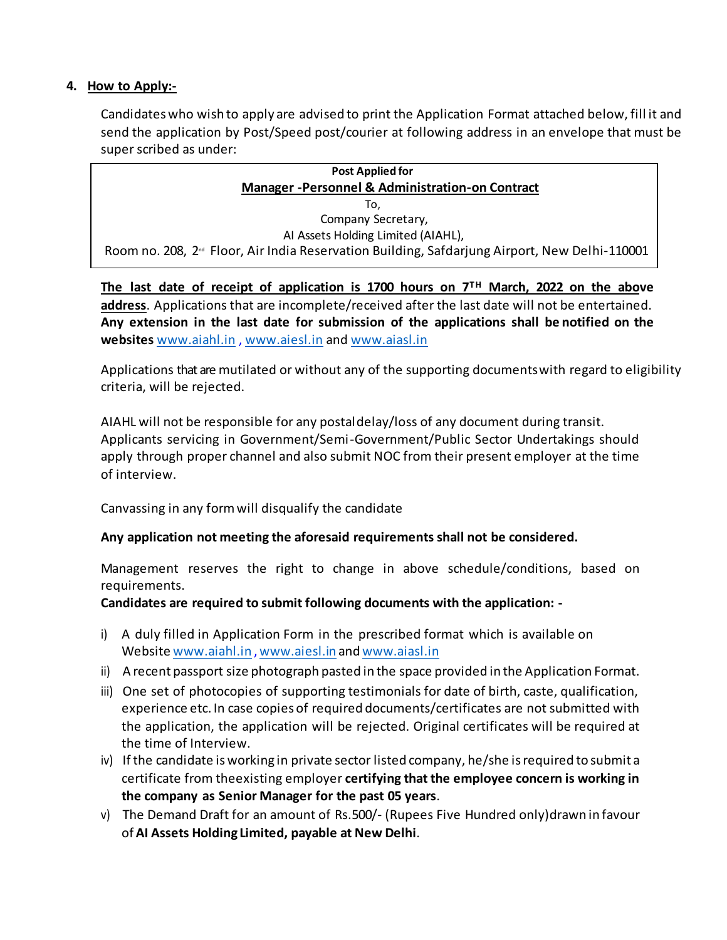#### **4. How to Apply:-**

Candidates who wish to apply are advised to print the Application Format attached below, fill it and send the application by Post/Speed post/courier at following address in an envelope that must be super scribed as under:

| <b>Post Applied for</b>                                                                                  |  |  |  |  |  |
|----------------------------------------------------------------------------------------------------------|--|--|--|--|--|
| <b>Manager - Personnel &amp; Administration-on Contract</b>                                              |  |  |  |  |  |
| To.                                                                                                      |  |  |  |  |  |
| Company Secretary,                                                                                       |  |  |  |  |  |
| Al Assets Holding Limited (AIAHL),                                                                       |  |  |  |  |  |
| Room no. 208, 2 <sup>™</sup> Floor, Air India Reservation Building, Safdarjung Airport, New Delhi-110001 |  |  |  |  |  |

**The last date of receipt of application is 1700 hours on 7 TH March, 2022 on the above address**. Applications that are incomplete/received after the last date will not be entertained. **Any extension in the last date for submission of the applications shall be notified on the websites** [www.aiahl.in](http://www.aiahl.in/) [, www.aiesl.in](http://www.aiesl.in/) an[d www.aiasl.in](http://www.aiasl.in/)

Applications that are mutilated or without any of the supporting documentswith regard to eligibility criteria, will be rejected.

AIAHL will not be responsible for any postaldelay/loss of any document during transit. Applicants servicing in Government/Semi-Government/Public Sector Undertakings should apply through proper channel and also submit NOC from their present employer at the time of interview.

Canvassing in any formwill disqualify the candidate

## **Any application not meeting the aforesaid requirements shall not be considered.**

Management reserves the right to change in above schedule/conditions, based on requirements.

## **Candidates are required to submit following documents with the application: -**

- i) A duly filled in Application Form in the prescribed format which is available on Website [www.aiahl.in](http://www.aiahl.in/) [, www.aiesl.in](http://www.aiesl.in/) an[d www.aiasl.in](http://www.aiasl.in/)
- ii) A recent passport size photograph pasted in the space provided in the Application Format.
- iii) One set of photocopies of supporting testimonials for date of birth, caste, qualification, experience etc. In case copies of required documents/certificates are not submitted with the application, the application will be rejected. Original certificates will be required at the time of Interview.
- iv) Ifthe candidate is working in private sector listed company, he/she isrequired to submit a certificate from theexisting employer **certifying that the employee concern is working in the company as Senior Manager for the past 05 years**.
- v) The Demand Draft for an amount of Rs.500/- (Rupees Five Hundred only)drawn in favour of **AI Assets Holding Limited, payable at New Delhi**.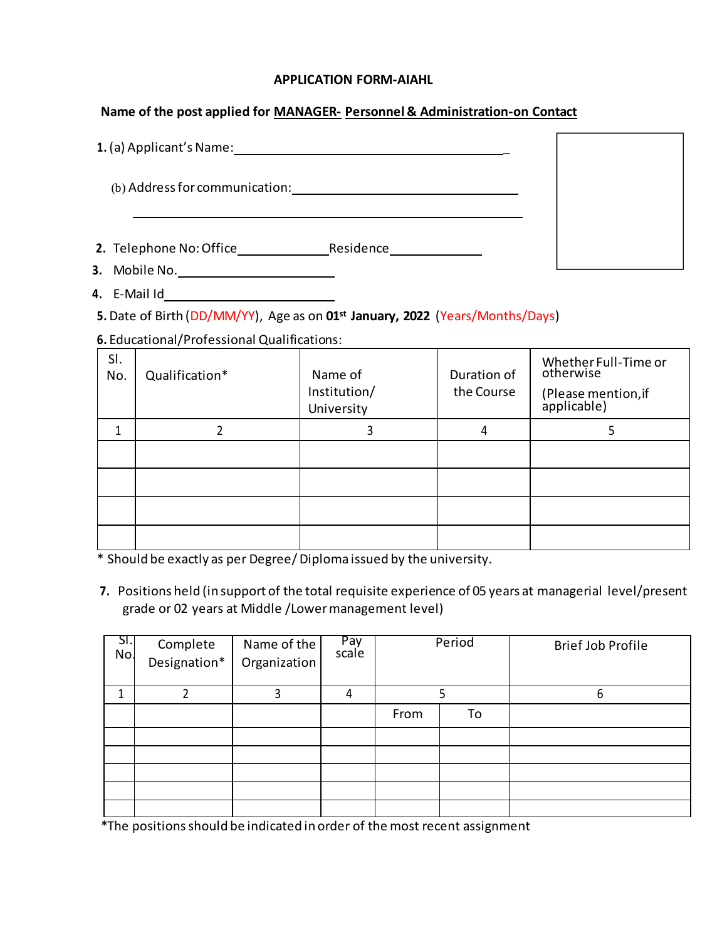#### **APPLICATION FORM-AIAHL**

#### **Name of the post applied for MANAGER- Personnel & Administration-on Contact**

|    | 1. (a) Applicant's Name:       |           |  |
|----|--------------------------------|-----------|--|
|    | (b) Address for communication: |           |  |
|    | 2. Telephone No: Office        | Residence |  |
| 3. | Mobile No.                     |           |  |

- 
- **4.** E-Mail Id

**5.** Date of Birth (DD/MM/YY), Age as on **01st January, 2022** (Years/Months/Days)

**6.** Educational/Professional Qualifications:

| SI.<br>No. | Qualification* | Name of<br>Institution/<br>University | Duration of<br>the Course | Whether Full-Time or<br>otherwise<br>(Please mention, if<br>applicable) |
|------------|----------------|---------------------------------------|---------------------------|-------------------------------------------------------------------------|
|            |                | 3                                     | 4                         |                                                                         |
|            |                |                                       |                           |                                                                         |
|            |                |                                       |                           |                                                                         |
|            |                |                                       |                           |                                                                         |
|            |                |                                       |                           |                                                                         |

\* Should be exactly as per Degree/ Diploma issued by the university.

**7.** Positions held (in support of the total requisite experience of 05 years at managerial level/present grade or 02 years at Middle /Lowermanagement level)

| SI.<br>No. | Complete<br>Designation* | Name of the<br>Organization | Pay<br>scale | Period |    | <b>Brief Job Profile</b> |  |  |
|------------|--------------------------|-----------------------------|--------------|--------|----|--------------------------|--|--|
|            |                          |                             |              |        |    |                          |  |  |
|            |                          |                             |              | From   | To |                          |  |  |
|            |                          |                             |              |        |    |                          |  |  |
|            |                          |                             |              |        |    |                          |  |  |
|            |                          |                             |              |        |    |                          |  |  |
|            |                          |                             |              |        |    |                          |  |  |
|            |                          |                             |              |        |    |                          |  |  |

\*The positionsshould be indicated in order of the most recent assignment